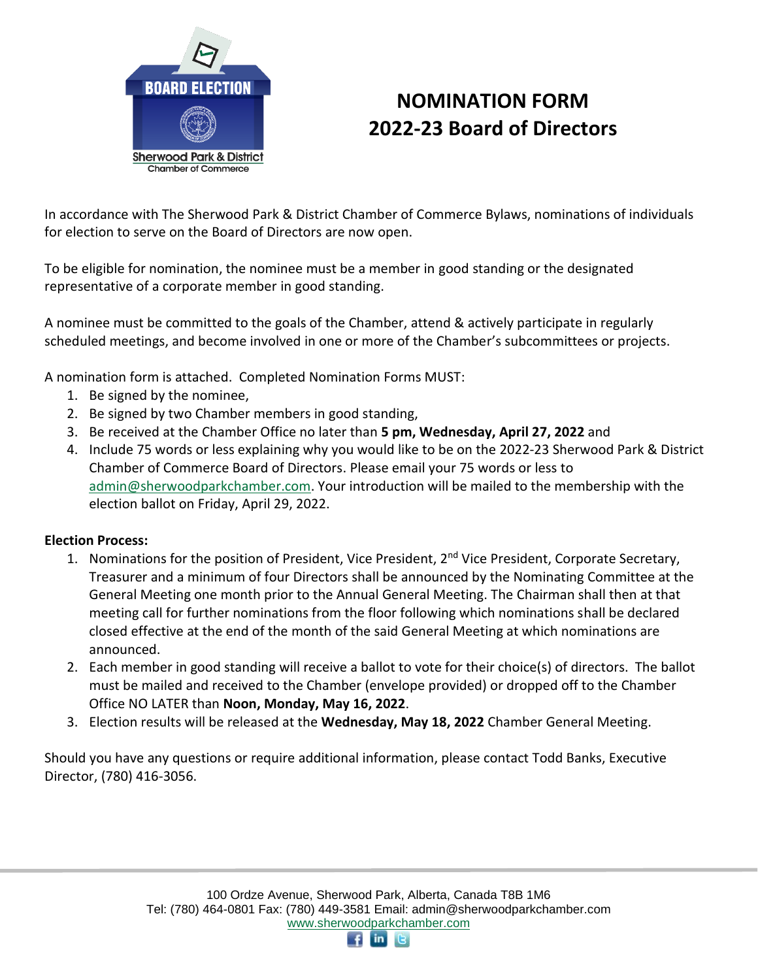

## **NOMINATION FORM 2022-23 Board of Directors**

In accordance with The Sherwood Park & District Chamber of Commerce Bylaws, nominations of individuals for election to serve on the Board of Directors are now open.

To be eligible for nomination, the nominee must be a member in good standing or the designated representative of a corporate member in good standing.

A nominee must be committed to the goals of the Chamber, attend & actively participate in regularly scheduled meetings, and become involved in one or more of the Chamber's subcommittees or projects.

A nomination form is attached. Completed Nomination Forms MUST:

- 1. Be signed by the nominee,
- 2. Be signed by two Chamber members in good standing,
- 3. Be received at the Chamber Office no later than **5 pm, Wednesday, April 27, 2022** and
- 4. Include 75 words or less explaining why you would like to be on the 2022-23 Sherwood Park & District Chamber of Commerce Board of Directors. Please email your 75 words or less to [admin@sherwoodparkchamber.com.](mailto:admin@sherwoodparkchamber.com) Your introduction will be mailed to the membership with the election ballot on Friday, April 29, 2022.

## **Election Process:**

- 1. Nominations for the position of President, Vice President, 2<sup>nd</sup> Vice President, Corporate Secretary, Treasurer and a minimum of four Directors shall be announced by the Nominating Committee at the General Meeting one month prior to the Annual General Meeting. The Chairman shall then at that meeting call for further nominations from the floor following which nominations shall be declared closed effective at the end of the month of the said General Meeting at which nominations are announced.
- 2. Each member in good standing will receive a ballot to vote for their choice(s) of directors. The ballot must be mailed and received to the Chamber (envelope provided) or dropped off to the Chamber Office NO LATER than **Noon, Monday, May 16, 2022**.
- 3. Election results will be released at the **Wednesday, May 18, 2022** Chamber General Meeting.

Should you have any questions or require additional information, please contact Todd Banks, Executive Director, (780) 416-3056.